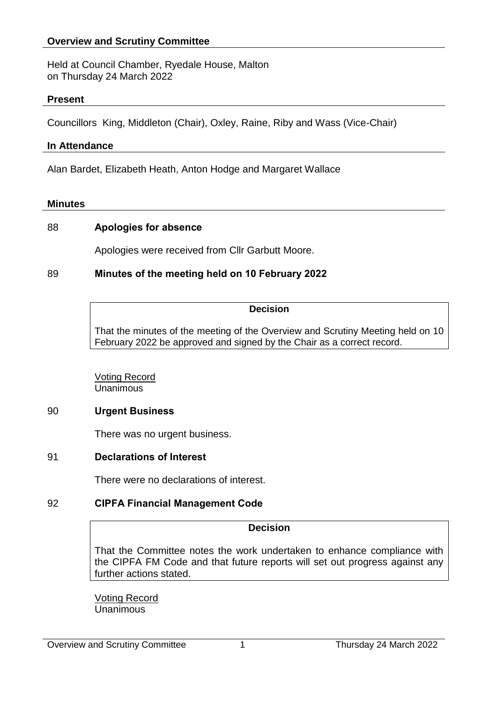# **Overview and Scrutiny Committee**

Held at Council Chamber, Ryedale House, Malton on Thursday 24 March 2022

#### **Present**

Councillors King, Middleton (Chair), Oxley, Raine, Riby and Wass (Vice-Chair)

#### **In Attendance**

Alan Bardet, Elizabeth Heath, Anton Hodge and Margaret Wallace

#### **Minutes**

# 88 **Apologies for absence**

Apologies were received from Cllr Garbutt Moore.

# 89 **Minutes of the meeting held on 10 February 2022**

#### **Decision**

That the minutes of the meeting of the Overview and Scrutiny Meeting held on 10 February 2022 be approved and signed by the Chair as a correct record.

Voting Record Unanimous

## 90 **Urgent Business**

There was no urgent business.

## 91 **Declarations of Interest**

There were no declarations of interest.

## 92 **CIPFA Financial Management Code**

#### **Decision**

That the Committee notes the work undertaken to enhance compliance with the CIPFA FM Code and that future reports will set out progress against any further actions stated.

Voting Record Unanimous